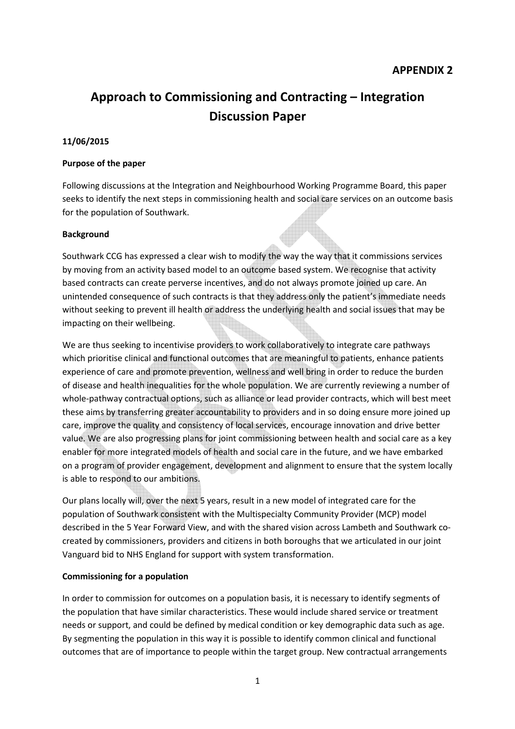# **Approach to Commissioning and Contracting – Integration Discussion Paper**

# **11/06/2015**

#### **Purpose of the paper**

Following discussions at the Integration and Neighbourhood Working Programme Board, this paper seeks to identify the next steps in commissioning health and social care services on an outcome basis for the population of Southwark.

#### **Background**

Southwark CCG has expressed a clear wish to modify the way the way that it commissions services by moving from an activity based model to an outcome based system. We recognise that activity based contracts can create perverse incentives, and do not always promote joined up care. An unintended consequence of such contracts is that they address only the patient's immediate needs without seeking to prevent ill health or address the underlying health and social issues that may be impacting on their wellbeing.

We are thus seeking to incentivise providers to work collaboratively to integrate care pathways which prioritise clinical and functional outcomes that are meaningful to patients, enhance patients experience of care and promote prevention, wellness and well bring in order to reduce the burden of disease and health inequalities for the whole population. We are currently reviewing a number of whole-pathway contractual options, such as alliance or lead provider contracts, which will best meet these aims by transferring greater accountability to providers and in so doing ensure more joined up care, improve the quality and consistency of local services, encourage innovation and drive better value. We are also progressing plans for joint commissioning between health and social care as a key enabler for more integrated models of health and social care in the future, and we have embarked on a program of provider engagement, development and alignment to ensure that the system locally is able to respond to our ambitions.

Our plans locally will, over the next 5 years, result in a new model of integrated care for the population of Southwark consistent with the Multispecialty Community Provider (MCP) model described in the 5 Year Forward View, and with the shared vision across Lambeth and Southwark cocreated by commissioners, providers and citizens in both boroughs that we articulated in our joint Vanguard bid to NHS England for support with system transformation.

#### **Commissioning for a population**

In order to commission for outcomes on a population basis, it is necessary to identify segments of the population that have similar characteristics. These would include shared service or treatment needs or support, and could be defined by medical condition or key demographic data such as age. By segmenting the population in this way it is possible to identify common clinical and functional outcomes that are of importance to people within the target group. New contractual arrangements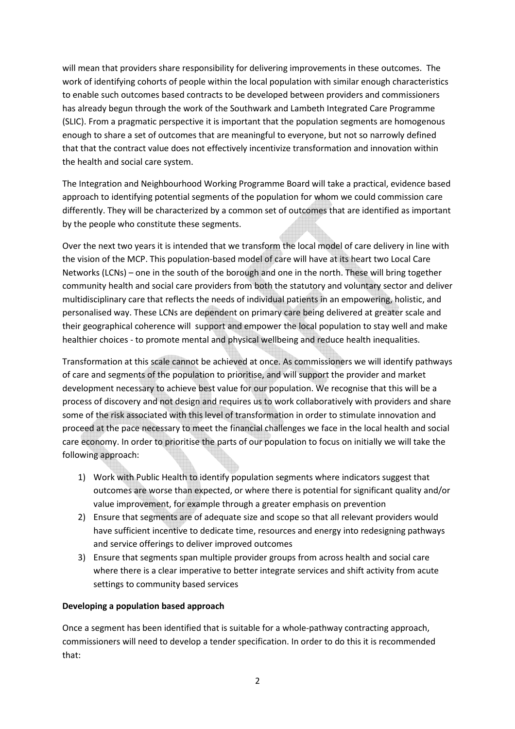will mean that providers share responsibility for delivering improvements in these outcomes. The work of identifying cohorts of people within the local population with similar enough characteristics to enable such outcomes based contracts to be developed between providers and commissioners has already begun through the work of the Southwark and Lambeth Integrated Care Programme (SLIC). From a pragmatic perspective it is important that the population segments are homogenous enough to share a set of outcomes that are meaningful to everyone, but not so narrowly defined that that the contract value does not effectively incentivize transformation and innovation within the health and social care system.

The Integration and Neighbourhood Working Programme Board will take a practical, evidence based approach to identifying potential segments of the population for whom we could commission care differently. They will be characterized by a common set of outcomes that are identified as important by the people who constitute these segments.

Over the next two years it is intended that we transform the local model of care delivery in line with the vision of the MCP. This population-based model of care will have at its heart two Local Care Networks (LCNs) – one in the south of the borough and one in the north. These will bring together community health and social care providers from both the statutory and voluntary sector and deliver multidisciplinary care that reflects the needs of individual patients in an empowering, holistic, and personalised way. These LCNs are dependent on primary care being delivered at greater scale and their geographical coherence will support and empower the local population to stay well and make healthier choices - to promote mental and physical wellbeing and reduce health inequalities.

Transformation at this scale cannot be achieved at once. As commissioners we will identify pathways of care and segments of the population to prioritise, and will support the provider and market development necessary to achieve best value for our population. We recognise that this will be a process of discovery and not design and requires us to work collaboratively with providers and share some of the risk associated with this level of transformation in order to stimulate innovation and proceed at the pace necessary to meet the financial challenges we face in the local health and social care economy. In order to prioritise the parts of our population to focus on initially we will take the following approach:

- 1) Work with Public Health to identify population segments where indicators suggest that outcomes are worse than expected, or where there is potential for significant quality and/or value improvement, for example through a greater emphasis on prevention
- 2) Ensure that segments are of adequate size and scope so that all relevant providers would have sufficient incentive to dedicate time, resources and energy into redesigning pathways and service offerings to deliver improved outcomes
- 3) Ensure that segments span multiple provider groups from across health and social care where there is a clear imperative to better integrate services and shift activity from acute settings to community based services

# **Developing a population based approach**

Once a segment has been identified that is suitable for a whole-pathway contracting approach, commissioners will need to develop a tender specification. In order to do this it is recommended that: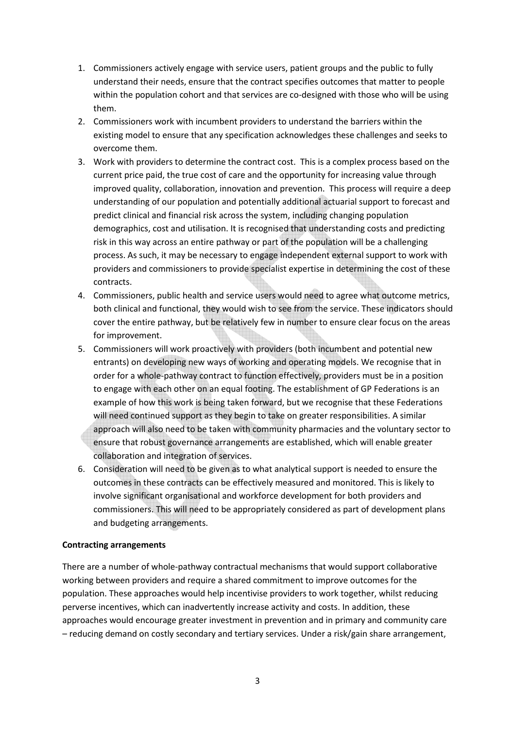- 1. Commissioners actively engage with service users, patient groups and the public to fully understand their needs, ensure that the contract specifies outcomes that matter to people within the population cohort and that services are co-designed with those who will be using them.
- 2. Commissioners work with incumbent providers to understand the barriers within the existing model to ensure that any specification acknowledges these challenges and seeks to overcome them.
- 3. Work with providers to determine the contract cost. This is a complex process based on the current price paid, the true cost of care and the opportunity for increasing value through improved quality, collaboration, innovation and prevention. This process will require a deep understanding of our population and potentially additional actuarial support to forecast and predict clinical and financial risk across the system, including changing population demographics, cost and utilisation. It is recognised that understanding costs and predicting risk in this way across an entire pathway or part of the population will be a challenging process. As such, it may be necessary to engage independent external support to work with providers and commissioners to provide specialist expertise in determining the cost of these contracts.
- 4. Commissioners, public health and service users would need to agree what outcome metrics, both clinical and functional, they would wish to see from the service. These indicators should cover the entire pathway, but be relatively few in number to ensure clear focus on the areas for improvement.
- 5. Commissioners will work proactively with providers (both incumbent and potential new entrants) on developing new ways of working and operating models. We recognise that in order for a whole-pathway contract to function effectively, providers must be in a position to engage with each other on an equal footing. The establishment of GP Federations is an example of how this work is being taken forward, but we recognise that these Federations will need continued support as they begin to take on greater responsibilities. A similar approach will also need to be taken with community pharmacies and the voluntary sector to ensure that robust governance arrangements are established, which will enable greater collaboration and integration of services.
- 6. Consideration will need to be given as to what analytical support is needed to ensure the outcomes in these contracts can be effectively measured and monitored. This is likely to involve significant organisational and workforce development for both providers and commissioners. This will need to be appropriately considered as part of development plans and budgeting arrangements.

#### **Contracting arrangements**

There are a number of whole-pathway contractual mechanisms that would support collaborative working between providers and require a shared commitment to improve outcomes for the population. These approaches would help incentivise providers to work together, whilst reducing perverse incentives, which can inadvertently increase activity and costs. In addition, these approaches would encourage greater investment in prevention and in primary and community care – reducing demand on costly secondary and tertiary services. Under a risk/gain share arrangement,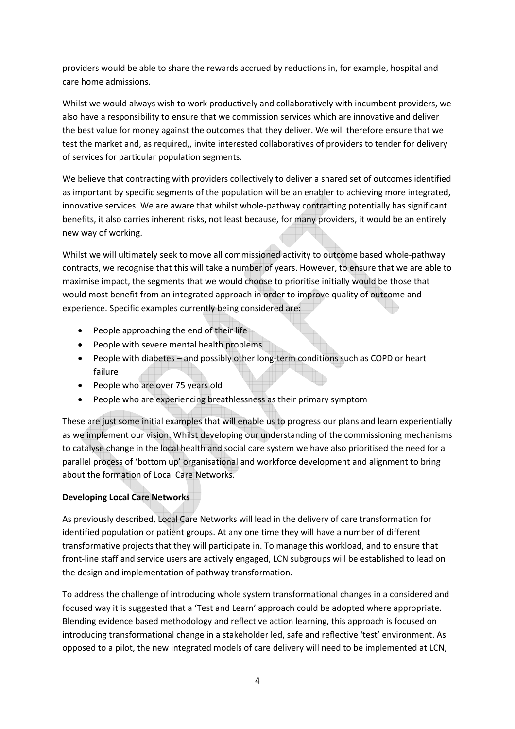providers would be able to share the rewards accrued by reductions in, for example, hospital and care home admissions.

Whilst we would always wish to work productively and collaboratively with incumbent providers, we also have a responsibility to ensure that we commission services which are innovative and deliver the best value for money against the outcomes that they deliver. We will therefore ensure that we test the market and, as required,, invite interested collaboratives of providers to tender for delivery of services for particular population segments.

We believe that contracting with providers collectively to deliver a shared set of outcomes identified as important by specific segments of the population will be an enabler to achieving more integrated, innovative services. We are aware that whilst whole-pathway contracting potentially has significant benefits, it also carries inherent risks, not least because, for many providers, it would be an entirely new way of working.

Whilst we will ultimately seek to move all commissioned activity to outcome based whole-pathway contracts, we recognise that this will take a number of years. However, to ensure that we are able to maximise impact, the segments that we would choose to prioritise initially would be those that would most benefit from an integrated approach in order to improve quality of outcome and experience. Specific examples currently being considered are:

- People approaching the end of their life
- People with severe mental health problems
- People with diabetes and possibly other long-term conditions such as COPD or heart failure
- People who are over 75 years old
- People who are experiencing breathlessness as their primary symptom

These are just some initial examples that will enable us to progress our plans and learn experientially as we implement our vision. Whilst developing our understanding of the commissioning mechanisms to catalyse change in the local health and social care system we have also prioritised the need for a parallel process of 'bottom up' organisational and workforce development and alignment to bring about the formation of Local Care Networks.

# **Developing Local Care Networks**

As previously described, Local Care Networks will lead in the delivery of care transformation for identified population or patient groups. At any one time they will have a number of different transformative projects that they will participate in. To manage this workload, and to ensure that front-line staff and service users are actively engaged, LCN subgroups will be established to lead on the design and implementation of pathway transformation.

To address the challenge of introducing whole system transformational changes in a considered and focused way it is suggested that a 'Test and Learn' approach could be adopted where appropriate. Blending evidence based methodology and reflective action learning, this approach is focused on introducing transformational change in a stakeholder led, safe and reflective 'test' environment. As opposed to a pilot, the new integrated models of care delivery will need to be implemented at LCN,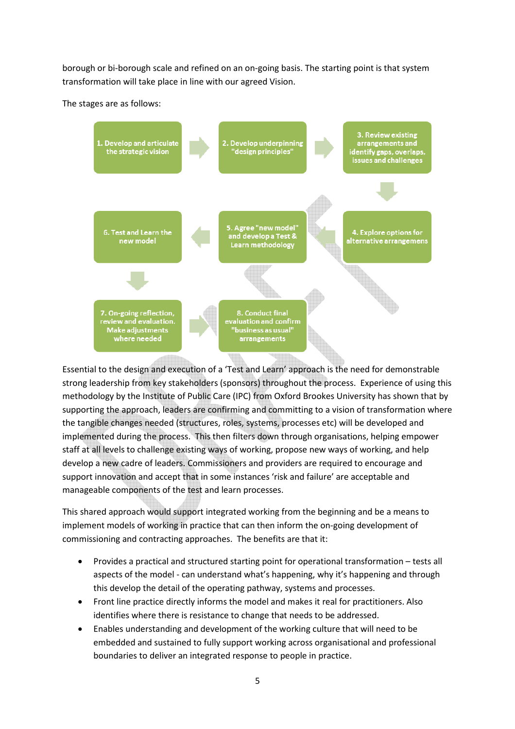borough or bi-borough scale and refined on an on-going basis. The starting point is that system transformation will take place in line with our agreed Vision.

The stages are as follows:



Essential to the design and execution of a 'Test and Learn' approach is the need for demonstrable strong leadership from key stakeholders (sponsors) throughout the process. Experience of using this methodology by the Institute of Public Care (IPC) from Oxford Brookes University has shown that by supporting the approach, leaders are confirming and committing to a vision of transformation where the tangible changes needed (structures, roles, systems, processes etc) will be developed and implemented during the process. This then filters down through organisations, helping empower staff at all levels to challenge existing ways of working, propose new ways of working, and help develop a new cadre of leaders. Commissioners and providers are required to encourage and support innovation and accept that in some instances 'risk and failure' are acceptable and manageable components of the test and learn processes.

This shared approach would support integrated working from the beginning and be a means to implement models of working in practice that can then inform the on-going development of commissioning and contracting approaches. The benefits are that it:

- Provides a practical and structured starting point for operational transformation tests all aspects of the model - can understand what's happening, why it's happening and through this develop the detail of the operating pathway, systems and processes.
- Front line practice directly informs the model and makes it real for practitioners. Also identifies where there is resistance to change that needs to be addressed.
- Enables understanding and development of the working culture that will need to be embedded and sustained to fully support working across organisational and professional boundaries to deliver an integrated response to people in practice.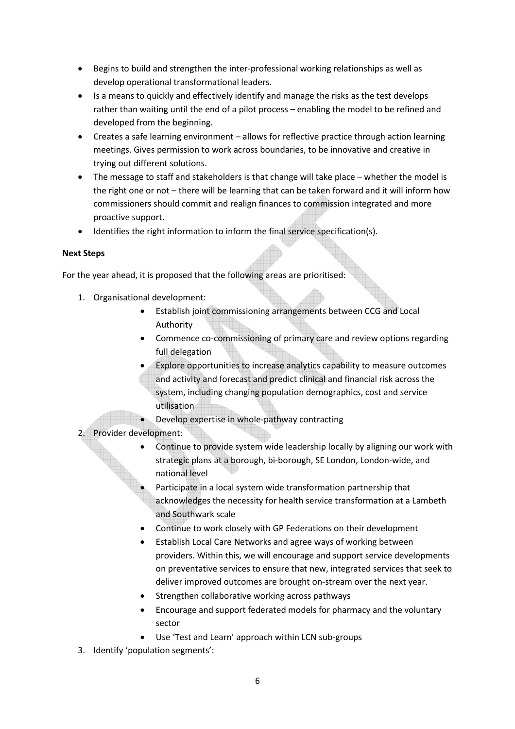- Begins to build and strengthen the inter-professional working relationships as well as develop operational transformational leaders.
- Is a means to quickly and effectively identify and manage the risks as the test develops rather than waiting until the end of a pilot process – enabling the model to be refined and developed from the beginning.
- Creates a safe learning environment allows for reflective practice through action learning meetings. Gives permission to work across boundaries, to be innovative and creative in trying out different solutions.
- The message to staff and stakeholders is that change will take place whether the model is the right one or not – there will be learning that can be taken forward and it will inform how commissioners should commit and realign finances to commission integrated and more proactive support.
- Identifies the right information to inform the final service specification(s).

# **Next Steps**

For the year ahead, it is proposed that the following areas are prioritised:

- 1. Organisational development:
	- Establish joint commissioning arrangements between CCG and Local Authority
	- Commence co-commissioning of primary care and review options regarding full delegation
	- Explore opportunities to increase analytics capability to measure outcomes and activity and forecast and predict clinical and financial risk across the system, including changing population demographics, cost and service utilisation
	- Develop expertise in whole-pathway contracting
- 2. Provider development:
	- Continue to provide system wide leadership locally by aligning our work with strategic plans at a borough, bi-borough, SE London, London-wide, and national level
	- Participate in a local system wide transformation partnership that acknowledges the necessity for health service transformation at a Lambeth and Southwark scale
	- Continue to work closely with GP Federations on their development
	- Establish Local Care Networks and agree ways of working between providers. Within this, we will encourage and support service developments on preventative services to ensure that new, integrated services that seek to deliver improved outcomes are brought on-stream over the next year.
	- Strengthen collaborative working across pathways
	- Encourage and support federated models for pharmacy and the voluntary sector
	- Use 'Test and Learn' approach within LCN sub-groups
- 3. Identify 'population segments':